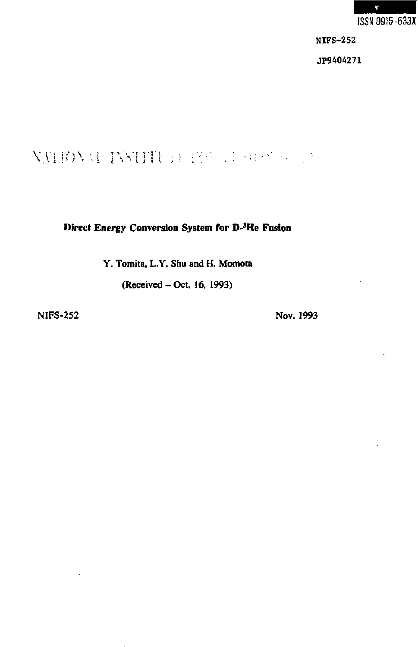

NIFS-252

JP9404271

# VAIIOVAI INSTITU i rišče da se se se se

**Direct Energy Conversion System for D-3He Fusion** 

**Y. Tomita, L.Y. Shu and H. Momola** 

**(Received - Oct. 16, 1993)** 

**NIFS-252 Nov. 1993**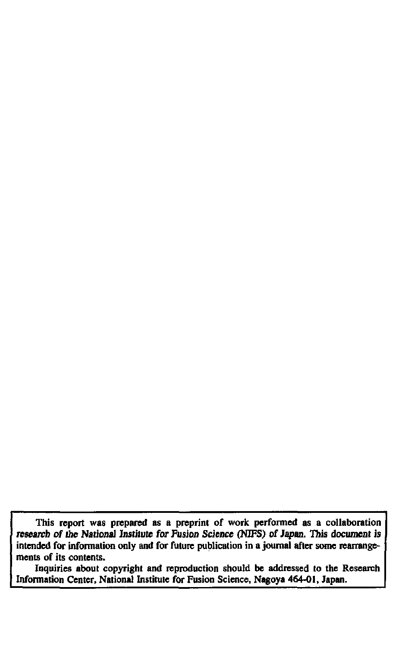**This report was prepared as a preprint of work performed as a collaboration research of the National Institute for Fusion Science (NIFS) of Japan. This document is intended for information only and for future publication in a journal after some rearrangements of its contents.** 

**Inquiries about copyright and reproduction should be addressed to the Research Information Center, National Institute for Fusion Science, Nagoya 464-01, Japan.**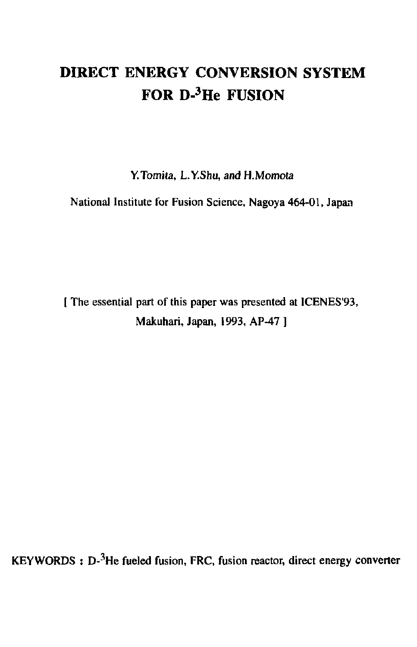# **DIRECT ENERGY CONVERSION SYSTEM FOR D-3He FUSION**

**Y.Tomita, L.Y.Shu, and H.Momota** 

**National Institute for Fusion Science, Nagoya 464-01, Japan** 

**[ The essential part of this paper was presented at ICENES'93, Makuhari, Japan, 1993, AP-47 ]** 

**KEYWORDS : D-3He fueled fusion, FRC, fusion reactor, direct energy converter**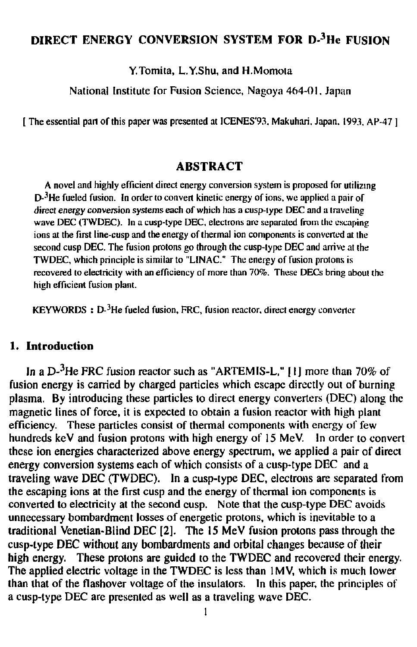## **DIRECT ENERGY CONVERSION SYSTEM FOR D-<sup>3</sup>He FUSION**

Y.Tomita, L.Y.Shu, and H.Momota

National Institute for Fusion Science, Nagoya 464-01. Japan

[ The essential part of this paper was presented at ICENES'93, Makuhari, Japan, 1993. AP-47 ]

### **ABSTRACT**

A novel and highly efficient direct energy conversion system is proposed for utilizing D-<sup>3</sup>He fueled fusion. In order to convert kinetic energy of ions, we applied a pair of direct energy conversion systems each of which has a cusp-iype DEC and a traveling wave DEC (TWDEC). In a cusp-type DEC, electrons are separated from the escaping ions at the first line-cusp and the energy of thermal ion components is converted at the second cusp DEC. The fusion protons go through the cusp-type DEC and arrive at the TWDEC, which principle is similar to "LINAC." The energy of fusion protons is recovered to electricity with an efficiency of more than 70%. These DECs bring aboul the high efficient fusion plant.

 $KEYWORDS : D<sup>3</sup>He$  fueled fusion, FRC, fusion reactor, direct energy converter

#### **1. Introduction**

In a D-3He FRC fusion reactor such as "ARTEMIS-L," [I] more than 70% of fusion energy is carried by charged particles which escape directly out of burning plasma. By introducing these particles to direct energy converters (DEC) along the magnetic lines of force, it is expected to obtain a fusion reactor with high plant efficiency. These particles consist of thermal components with energy of few hundreds keV and fusion protons with high energy of 15 MeV. In order to convert these ion energies characterized above energy spectrum, we applied a pair of direct energy conversion systems each of which consists of a cusp-type DEC and a traveling wave DEC (TWDEC). In a cusp-type DEC, electrons are separated from the escaping ions at the first cusp and the energy of thermal ion components is converted to electricity at the second cusp. Note that the cusp-type DEC avoids unnecessary bombardment losses of energetic protons, which is inevitable to a traditional Venetian-Blind DEC [2]. The 15 MeV fusion protons pass through the cusp-type DEC without any bombardments and orbital changes because of their high energy. These protons are guided to the TWDEC and recovered their energy. The applied electric voltage in the TWDEC is less than 1MV, which is much lower than that of the flashover voltage of the insulators. In this paper, the principles of a cusp-type DEC are presented as well as a traveling wave DEC.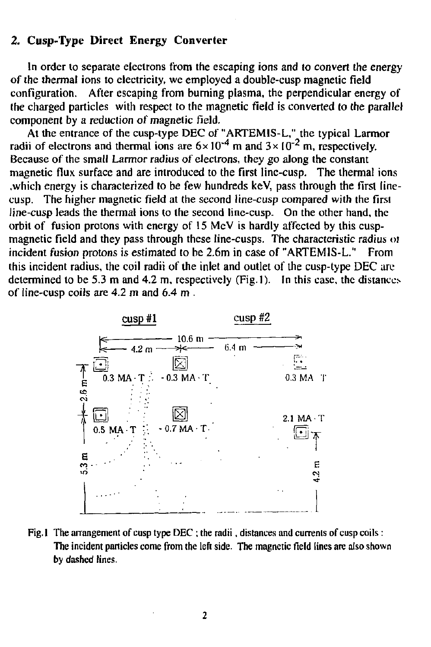#### **2. Cusp-Type Direct Energy Converter**

In order to separate electrons from the escaping ions and to convert the energy of the thermal ions to electricity, we employed a double-cusp magnetic field configuration. After escaping from burning plasma, the perpendicular energy of the charged particles with respect to the magnetic field is converted to the parallel component by a reduction *of* magnetic field.

At the entrance of the cusp-type DEC of "ARTEM1S-L," the typical Larmor radii of electrons and thermal ions are  $6 \times 10^{-4}$  m and  $3 \times 10^{-2}$  m, respectively. Because of the small Larmor radius of electrons, they go along the constant magnetic flux surface and are introduced to the first line-cusp. The thermal ions .which energy is characterized to be few hundreds keV, pass through the first linecusp. The higher magnetic field at the second line-cusp compared with the first line-cusp leads the thermal ions to the second line-cusp. On the other hand, the orbit of fusion protons with energy of 15 MeV is hardly affected by this cuspmagnetic field and they pass through these line-cusps. The characteristic radius of incident fusion protons is estimated to be 2.6m in case of "ARTEM1S-L." From this incident radius, the coil radii of the inlet and outlet of the cusp-type DEC are determined to be 5.3 m and 4.2 m, respectively (Fig.l). In this case, the distances of line-cusp coils are 4.2 m and 6.4 m .



Fig. 1 The arrangement of cusp type DEC ; the radii, distances and currents of cusp coils: The incident particles come from the left side. The magnetic field lines are also shown by dashed lines.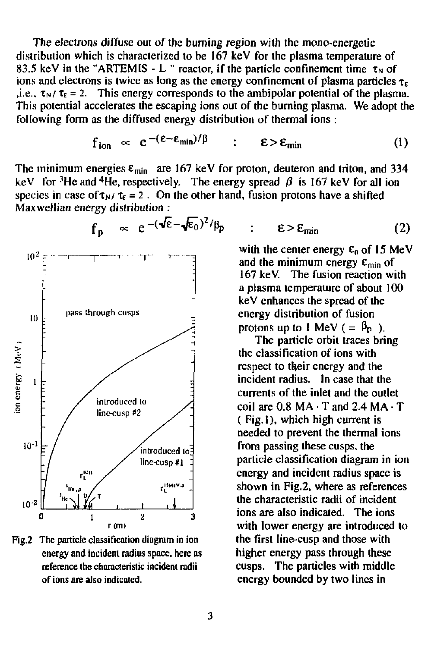The electrons diffuse out of the burning region with the mono-energetic distribution which is characterized to be 167 keV for the plasma temperature of 83.5 keV in the "ARTEMIS - L " reactor, if the particle confinement time  $\tau_N$  of ions and electrons is twice as long as the energy confinement of plasma particles  $\tau_{\epsilon}$ i.e.,  $\tau_N/\tau_{\epsilon} = 2$ . This energy corresponds to the ambipolar potential of the plasma. This potential accelerates the escaping ions out of the burning plasma. We adopt the following form as the diffused energy distribution of thermal ions :

$$
f_{\text{ion}} \propto e^{-(\epsilon - \epsilon_{\min})/\beta} \qquad : \qquad \epsilon > \epsilon_{\min} \tag{1}
$$

The minimum energies  $\varepsilon_{\text{min}}$  are 167 keV for proton, deuteron and triton, and 334 keV for <sup>3</sup>He and <sup>4</sup>He, respectively. The energy spread  $\beta$  is 167 keV for all ion species in case of  $\tau_N/\tau_s = 2$ . On the other hand, fusion protons have a shifted Maxwellian energy distribution :



Fig.2 The particle classification diagram in ion energy and incident radius space, here as reference the characteristic incident radii of ions are also indicated.

$$
\varepsilon > \varepsilon_{\min} \tag{2}
$$

with the center energy  $\varepsilon_0$  of 15 MeV and the minimum energy  $\varepsilon_{\min}$  of 167 keV. The fusion reaction with a plasma temperature of about 100 keV enhances the spread of the energy distribution of fusion protons up to 1 MeV ( $=$   $\beta_{p}$ ).

The particle orbit traces bring the classification of ions with respect to their energy and the incident radius. In case that the currents of the inlet and the outlet  $\text{coil}$  are  $0.8 \text{ MA} \cdot \text{T}$  and  $2.4 \text{ MA} \cdot \text{T}$ ( Fig. 1), which high current is needed to prevent the thermal ions from passing these cusps, the particle classification diagram in ion energy and incident radius space is shown in Fig.2, where as references the characteristic radii of incident ions are also indicated. The ions with lower energy are introduced to the first line-cusp and those with higher energy pass through these cusps. The particles with middle energy bounded by two lines in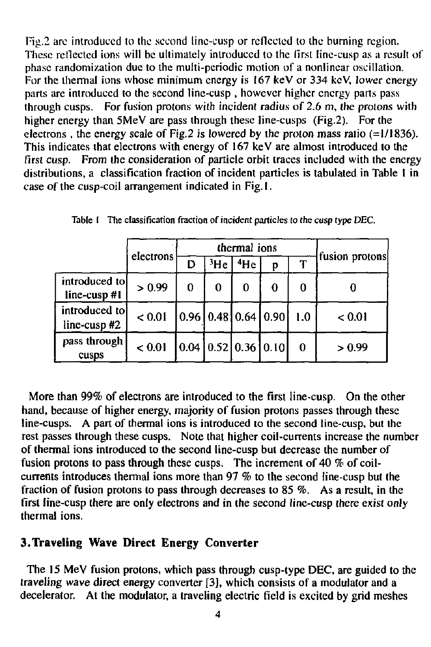Fig.2 are introduced to the second line-cusp or reflected to the burning region. These rellected ions will be ultimately introduced to the first line-cusp as a result of phase randomization due to the multi-periodic motion of a nonlinear oscillation. For the thermal ions whose minimum energy is 167 keV or 334 keV, lower energy parts are introduced to the second line-cusp, however higher energy parts pass through cusps. For fusion protons with incident radius of 2.6 m, the protons with higher energy than 5MeV are pass through these line-cusps (Fig.2). For the electrons , the energy scale of Fig.2 is lowered by the proton mass ratio (=1/1836). This indicates that electrons with energy of 167 keV are almost introduced to the first cusp. From the consideration of particle orbit traces included with the energy distributions, a classification fraction of incident particles is tabulated in Table I in case of the cusp-coil arrangement indicated in Fig. I.

|                               | electrons   | thermal ions |   |                       |                                              |     | fusion protons |
|-------------------------------|-------------|--------------|---|-----------------------|----------------------------------------------|-----|----------------|
|                               |             | D            |   | $3$ He $\sqrt{14}$ He | D                                            |     |                |
| introduced to<br>line-cusp#1  | > 0.99      | 0            | 0 | 0                     | 0                                            | 0   |                |
| introduced tol<br>line-cusp#2 | < 0.01      |              |   |                       | $\left[0.96\right]0.48\left[0.64\right]0.90$ | 1.0 | < 0.01         |
| pass through<br>cusps         | ${}_{0.01}$ |              |   |                       | [0.04]0.52]0.36]0.10                         | 0   | > 0.99         |

Table I The classification fraction of incident particles *to* the cusp type DEC.

More than 99% of electrons are introduced to the first line-cusp. On the other hand, because of higher energy, majority of fusion protons passes through these line-cusps. A part of thermal ions is introduced to the second line-cusp, but the rest passes through these cusps. Note that higher coil-currents increase the number of thermal ions introduced to the second line-cusp but decrease the number of fusion protons to pass through these cusps. The increment of 40 % of coilcurrents introduces thermal ions more than 97 % to the second line-cusp but the fraction of fusion protons to pass through decreases to 85 %. As a result, in the first line-cusp there are only electrons and in the second line-cusp there exist only thermal ions.

## **3.Traveling Wave Direct Energy Converter**

The **15** MeV fusion protons, which pass through cusp-type DEC, are guided to the traveling wave direct energy converter [3], which consists of a modulator and a decelerator. At the modulator, a traveling electric field is excited by grid meshes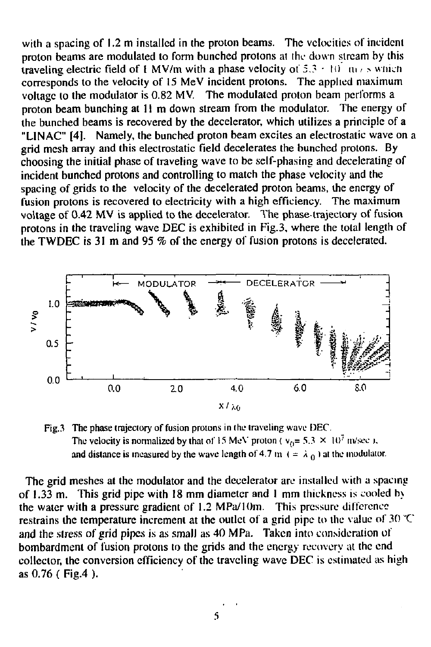with a spacing of 1.2 m installed in the proton beams. The velocities of incident proton beams are modulated to form bunched protons at ihc down stream by this traveling electric field of 1 MV/m with a phase velocity of  $5.3 \pm 10^7$  m/s which corresponds to the velocity of 15 MeV incident protons. The applied maximum voltage to the modulator is 0.82 MV. The modulated proton beam performs a proton beam bunching at 11 m down stream from the modulator. The energy of the bunched beams is recovered by the decelerator, which utilizes a principle of a "LINAC" [4]. Namely, the bunched proton beam excites an electrostatic wave on a grid mesh array and this electrostatic field decelerates the bunched protons. By choosing the initial phase of traveling wave to be self-phasing and decelerating of incident bunched protons and controlling to match the phase velocity and the spacing of grids to the velocity of the decelerated proton beams, the energy of fusion protons is recovered to electricity with a high efficiency. The maximum voltage of 0.42 MV is applied to the decelerator. The phase trajectory of fusion protons in the traveling wave DEC is exhibited in Fig.3, where the total length of the TWDEC is 31 m and 95 % of the energy of fusion protons is decelerated.



Fig.3 The phase trajectory of fusion protons in the traveling wave DEC. The velocity is normalized by that of 15 MeV proton ( $v_0 = 5.3 \times 10^7$  m/sec ), and distance is measured by the wave length of 4.7 m  $( = \lambda_0 )$  at the modulator.

The grid meshes at the modulator and the decelerator arc installed with a spacing of 1.33 m. This grid pipe with 18 mm diameter and 1 mm thickness is cooled h> the water with a pressure gradient of 1.2 MPa/IOm. This pressure difference restrains the temperature increment at the outlet of a grid pipe to the value of 30 "C and the stress of grid pipes is as small as 40 MPa. Taken into consideration of bombardment of fusion protons to the grids and the energy recovery at the end collector, the conversion efficiency of the traveling wave DEC is estimated as high as 0.76 ( Fig.4 ).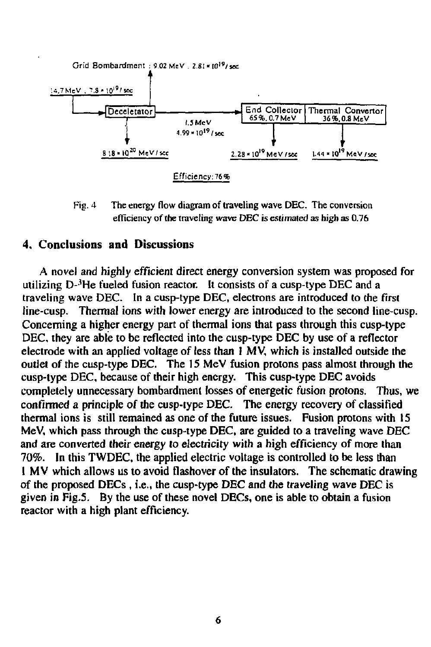

Fig. 4 The energy flow diagram of traveling wave DEC. The conversion efficiency of the traveling wave DEC is estimated as high as 0.76

#### 4. **Conclusions and Discussions**

A novel and highly efficient direct energy conversion system was proposed for utilizing D-'He fueled fusion reactor. It consists of a cusp-type DEC and a traveling wave DEC. In a cusp-type DEC, electrons are introduced to the first line-cusp. Thermal ions with lower energy are introduced to the second line-cusp. Concerning a higher energy part of thermal ions that pass through this cusp-type DEC, they are able to be reflected into the cusp-type DEC by use of a reflector electrode with an applied voltage of less than I MV, which is installed outside the outlet of the cusp-type DEC. The 15 MeV fusion protons pass almost through the cusp-type DEC, because of their high energy. This cusp-type DEC avoids completely unnecessary bombardment losses of energetic fusion protons. Thus, we confirmed a principle of the cusp-type DEC. The energy recovery of classified thermal ions is still remained as one of the future issues. Fusion protons with IS MeV, which pass through the cusp-type DEC, are guided to a traveling wave DEC and are converted their energy *lo* electricity with a high efficiency of more than 70%. In this TWDEC, the applied electric voltage is controlled to be less than I MV which allows us to avoid flashover of the insulators. The schematic drawing of the proposed DECs , i.e., the cusp-type DEC and the traveling wave DEC is given in Fig.5. By the use of these novel DECs, one is able to obtain a fusion reactor with a high plant efficiency.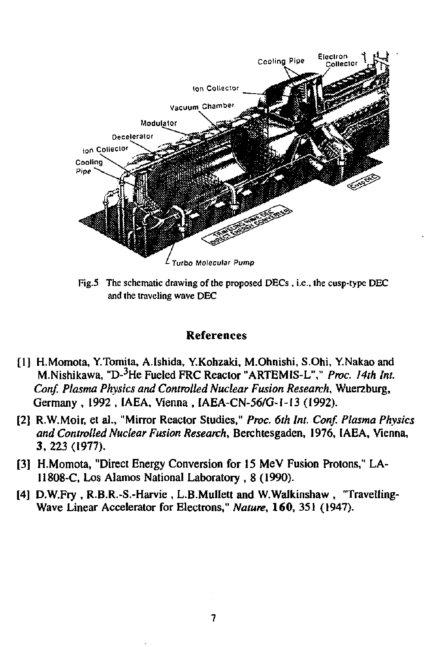

Fig.5 The schematic drawing of the proposed DECs , i.e., the cusp-type DEC and the traveling wave DEC

#### References

- [1] H.Momota, Y.Tomita, A.lshida, Y.Kohzaki, M.Ohnishi, S.Ohi, Y.Nakao and M.Nishikawa, "D-3He Fueled FRC Reactor "ARTEMIS-L"," *Proc. 14th Int. Conf. Plasma Physics and Controlled Nuclear Fusion Research,* Wuerzburg, Germany , 1992', IAEA, Vienna , IAEA-CN-56/G-1-I3 (1992).
- [2] R.W.Moir, et al., "Mirror Reactor Studies," *Proc. 6th Int. Conf. Plasma Physics and Controlled Nuclear Fusion Research,* Berchtesgaden, 1976, IAEA, Vienna, 3, 223 (1977).
- [3] H.Momota, "Direct Energy Conversion for 15 MeV Fusion Protons," LA-11808-C, Los Alamos National Laboratory , 8 (1990).
- [4] D.W.Fry , R.B.R.-S.-Harvie , L.B.MulIett and W.Walkinshaw , "Travelling-Wave Linear Accelerator for Electrons," *Nature,* **160,** 351 (1947).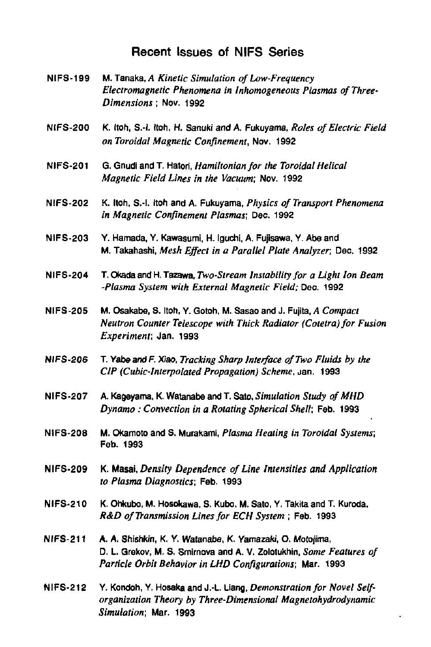### Recent Issues of NIFS Series

- NIFS-199 M. Tanaka, *A Kinetic Simulation of Low-Frequency Electromagnetic Phenomena in lnhomogeneous Plasmas of Three-Dimensions ;* Nov. 1992
- NIFS-200 K. Itoh, S.-l. Itoh, H. Sanuki and A. Fukuyama, *Roles ofEleclric Field on Toroidal Magnetic Confinement,* Nov. 1992
- NIFS-201 G. Gnudi and T. Hatori, *Hamiltonian for the Toroidal Helical Magnetic Field Lines in the Vacuum;* Nov. 1992
- NIFS-202 K. Itoh, S.-l. Itoh and A. Fukuyama, *Physics of Transport Phenomena in Magnetic Confinement Plasmas;* Deo. 1992
- **NIFS-203 Y. Hamada, Y. Kawasumi, H. Iguchi. A. Fujisawa, Y. Abe and**  M. Takahashi, *Mesh Effect in a Parallel Plate Analyzer,* Dec. 1992
- NIFS-204 T. Okada and H. Tazawa, *Two-Stream Instability for a Light Ion Beam -Plasma System with External Magnetic Field;* Dec. 1992
- **NIFS-205 M. Osakabe, S. Itoh, Y. Gotoh, M. Sasao and J. Fujita, A Compact** *Neutron Counter Telescope with Thick Radiator (Cotetra) for Fusion Experiment;* Jan. 1993
- NIFS-206 T. Yabeand F. Xiao, *Tracking Sharp Interface of Two Fluids by the C1P (Cubic-Interpolated Propagation) Scheme,* Jan. 1993
- NIFS-207 A. Kageyama. K. Watanabe and T. Sato, *Simulation Study ofMHD Dynamo: Convection in a Rotating Spherical Shell;* Feb. 1993
- NIFS-208 M. Okamoto and S. Murakami, *Plasma Heating in Toroidal Systems;*  Feb. 1993
- NIFS-209 K. Masai, *Density Dependence of Line Intensities and Application to Plasma Diagnostics;* Feb. 1993
- NIFS-210 K. Ohkubo. M. Hosokawa, S. Kubo, M. Sato, Y. Takita and T. Kuroda. *R&D of Transmission Lines for ECH System ;* Feb. 1993
- **NIFS-211 A. A. Shishkin, K. Y. Watanabe, K. Yamazaki, O. Motojima,**  D. L. Grekov, M. S. Smlrnova and A. V. Zolotukhin, *Some Features of Particle Orbit Behavior in LHD Configurations;* Mar. 1993
- NIFS-212 Y. Kondoh, Y. Hosaka and J.-L. Liang, *Demonstration for Novel Selforganization Theory by Three-Dimensional Magnetohydrodynamic Simulation;* Mar. 1993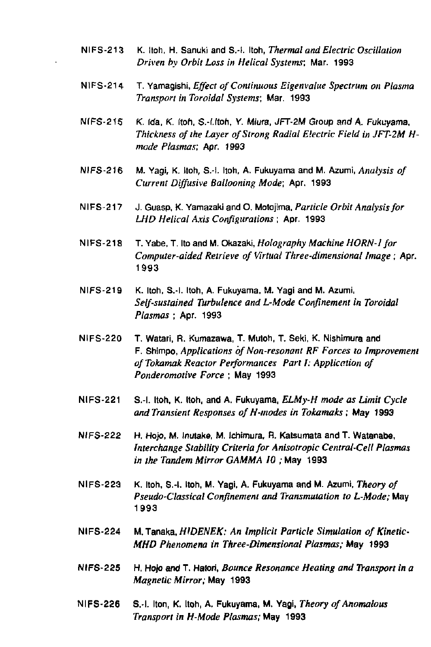- NIFS-213 K. Itoh. H. Sanuki and S.-l. Itoh, *Thermal and Electric Oscillation Driven by Orbit Loss in Helical Systems:* Mar. 1993
- NIFS-214 T. Yamagishi. *Effect of Continuous Eigenvalue Spectrum on Plasma Transport in Toroidal Systems;* Mar. 1993
- NIFS-215 K. Ida, K. Itoh, S.-I.ltoh, Y. Miura, JFT-2M Group and A. Fukuyama, *Thickness of the Layer of Strong Radial Electric Field in JFT-2M Hmade Plasmas;* Apr. 1993
- NIFS-216 M. Yagi, K. Itoh, S.-i. Itoh, A. Fukuyama and M. Azumi, *Analysis of Current Diffusive Ballooning Mode;* Apr. 1993
- NIFS-217 J. Guasp, K. Yamazakiand 0. Motojima. *Particle Orbit Analysis for LHD Helical Axis Configurations ;* Apr. 1993
- NIFS-218 T. Yabe, T. Ito and M. Okazaki, *Holography Machine HORN-I for Computer-aided Retrieve of Virtual Three-dimensional Image; Apr.*  1993
- **NIFS-219 K. Itoh, S.-l. Itoh, A. Fukuyama. M. Yagi and M. Azumi.**  *Self-sustained Turbulence and L-Mode Confinement in Toroidal Plasmas ; Apt.* 1993
- **NIFS-220 T. Watari, R. Kumazawa, T. Mutoh, T. Seki, K. Nishimura and**  F. Shimpo, *Applications of Non-resonant RF Forces to Improvement ofTokamak Reactor Performances Part I: Application of Ponderomotive Force* ; May 1993
- NIFS-221 S.-l. Itoh, K. Itoh, and A. Fukuyama, *ELMy-H mode as Limit Cycle and Transient Responses ofH-modes in Tokamaks;* May 1993
- **NIFS-222 H. Hop, M. Inulake, M. Ichimura, H. Katsumata and T. Watanabe,**  *Interchange Stability Criteria for Anisotropic Central-Cell Plasmas in the Tandem Mirror GAMMA 10 ;* May 1993
- **NIFS-223 K. Itoh, S.-l. Itoh, M. Yagi, A. Fukuyama and M. Azumi.** *Theory of Pseudo-Classical Confinement and Transmutation to L-Mode;* May 1993
- NIFS-224 M. Tanaka, *HIDENEK: An Implicit Particle Simulation of Kinetic-MHD Phenomena in Three-Dimensional Plasmas;* May 1993
- NIFS-225 H. Hojs and T. Halori, *Bounce Resonance Heating and Transport in a Magnetic Mirror; May* 1993
- NIFS-226 S.-l. Iton, K. Itoh, A. Fukuyama, M. Yagi, *Theory of Anomalous Transport in H-Mode Plasmas;* May 1993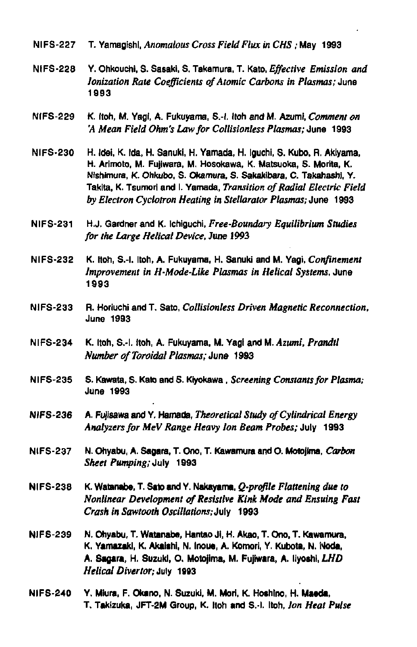- **NIFS-227 T. Yamagishl,** *Anomalous Cross Field Flux in CHS;* **May 1993**
- **NIFS-228 Y. Ohkouchi, S. Sasaki, S. Takamura, T. Kato,** *Effective Emission and Ionization Rate Coefficients of Atomic Carbons in Plasmas;* **June 1993**
- **NIFS-229 K. Itoh, M. Yagi, A. Fukuyama, S.-l. Itoh and M. Azumi,** *Comment on 'A Mean Field Ohm's Law for Collisionless Plasmas;* **June 1993**
- **NIFS-230 H. Idsi, K. Ida, H. Sanukl, H. Yamada, H. Iguchi. S. Kubo. R. Akiyama, H. Arimoto, M. Fujiwara, M. Hosokawa, K. Matsuoka, S. Morila, K. Ntshrmura, K. Ohkubo, S. Okamura, S. Sakakibara, C. Takahashl, Y. Takita, K. Tsumori and I. Yamada,** *Transition of Radial Electric Field by Electron Cyclotron Heating in Stellarator Plasmas;* **June 1993**
- **NIFS-231 H.J. Gardner and K. Ichiguchi,** *Free-Boundary Equilibrium Studies for the Large Helical Device,* **June 1993**
- **NIFS-232 K. Itoh, S.-l. Itoh, A. Fukuyama, H. Sanukl and M. Yagi,** *Confinement Improvement in H-Mode-Like Plasmas in Helical Systems,* **June 1993**
- **NIFS-233 R. Horiuchi and T. Sato,** *Collisionless Driven Magnetic Reconnection,*  **June 1993**
- **NIFS-234 K. Itoh, S.-l. Itoh, A. Fukuyama, M. Yagi and M.** *Azumi, Prandtl Number of Toroidal Plasmas; June* **1993**
- **NIFS-235 S. Kawata, S. Kato and S. Kiyokawa ,** *Screening Constants for Plasma;*  **June 1993**
- **NIFS-236 A. Fujlsawa and Y. Hamada,** *Theoretical Study of Cylindrical Energy Analyzers for MeV Range Heavy Ion Beam Probes;* **July 1993**
- **NIFS-237 N. Ohyabu, A. Sagara, T. Ono, T. Kawamura andO. MotoJIma,** *Carbon Sheet Pumping; July* 1993
- **Nl FS-238 K. Watanabe, T. Sato and Y. Nakayama,** *Q-profile Flattening due to Nonlinear Development of Resistive Kink Mode and Ensuing Fast*  **Crash in Sawtooth Oscillations: July 1993**
- **NIFS-239 N. Ohyabu, T. Watanabe, Hantao Ji, H. Akao, T. Ono, T. Kawamura,**  K. Yamazaki, K. Akaishi, N. Inoue, A. Komori, Y. Kubota, N. IVoda, **A. Sagara, H. Suzuki, 0. Motojima, M. Fujiwara, A. liyoshl.IA/O**  *Helical Divertor;* **July 19(3**
- **NIFS-240 Y. Mlura, F. Okano, N. Suzuki, M. Mori, K. Hothlno, H. Maeda, T. Taklzuka, JFT-2M Group, K. Itoh and S.-l. Itoh,** *Ion Heat Pulse*